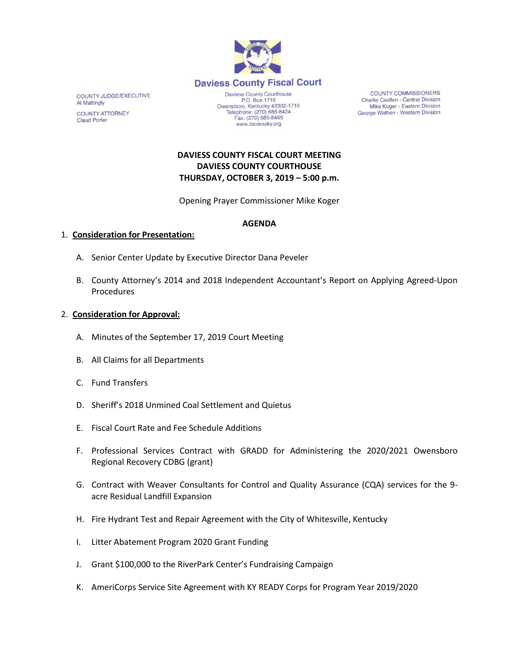

COUNTY JUDGE/EXECUTIVE **Al Mattingly COUNTY ATTORNEY Claud Porter** 

Daviess County Courthouse P.O. Box 1716 Owensboro, Kentucky 42302-1716<br>Telephone: (270) 685-8424 Fax: (270) 685-8469 www.daviessky.org

**COUNTY COMMISSIONERS** Charlie Castlen - Central Division Mike Koger - Eastern Division George Wathen - Western Division

# **DAVIESS COUNTY FISCAL COURT MEETING DAVIESS COUNTY COURTHOUSE THURSDAY, OCTOBER 3, 2019 – 5:00 p.m.**

Opening Prayer Commissioner Mike Koger

### **AGENDA**

### 1. **Consideration for Presentation:**

- A. Senior Center Update by Executive Director Dana Peveler
- B. County Attorney's 2014 and 2018 Independent Accountant's Report on Applying Agreed-Upon Procedures

### 2. **Consideration for Approval:**

- A. Minutes of the September 17, 2019 Court Meeting
- B. All Claims for all Departments
- C. Fund Transfers
- D. Sheriff's 2018 Unmined Coal Settlement and Quietus
- E. Fiscal Court Rate and Fee Schedule Additions
- F. Professional Services Contract with GRADD for Administering the 2020/2021 Owensboro Regional Recovery CDBG (grant)
- G. Contract with Weaver Consultants for Control and Quality Assurance (CQA) services for the 9 acre Residual Landfill Expansion
- H. Fire Hydrant Test and Repair Agreement with the City of Whitesville, Kentucky
- I. Litter Abatement Program 2020 Grant Funding
- J. Grant \$100,000 to the RiverPark Center's Fundraising Campaign
- K. AmeriCorps Service Site Agreement with KY READY Corps for Program Year 2019/2020